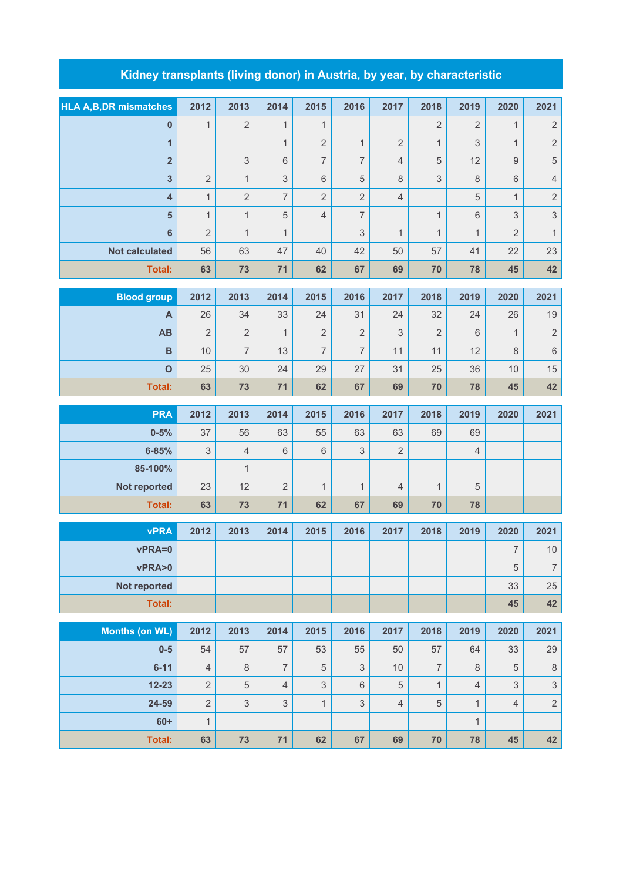## **Kidney transplants (living donor) in Austria, by year, by characteristic**

| <b>HLA A,B,DR mismatches</b> | 2012           | 2013           | 2014           | 2015           | 2016           | 2017           | 2018                      | 2019           | 2020           | 2021                      |
|------------------------------|----------------|----------------|----------------|----------------|----------------|----------------|---------------------------|----------------|----------------|---------------------------|
| $\bf{0}$                     | $\mathbf{1}$   | $\overline{2}$ | $\mathbf{1}$   | $\mathbf{1}$   |                |                | $\overline{2}$            | $\overline{2}$ | $\mathbf{1}$   | $\sqrt{2}$                |
| $\overline{1}$               |                |                | $\mathbf{1}$   | $\overline{2}$ | $\mathbf{1}$   | $\overline{2}$ | $\mathbf{1}$              | 3              | $\mathbf{1}$   | $\overline{c}$            |
| $\overline{\mathbf{2}}$      |                | $\mathsf 3$    | $6\,$          | $\overline{7}$ | $\overline{7}$ | $\overline{4}$ | $\,$ 5 $\,$               | 12             | 9              | 5                         |
| 3                            | $\overline{2}$ | $\mathbf{1}$   | 3              | 6              | 5              | 8              | $\ensuremath{\mathsf{3}}$ | 8              | 6              | $\overline{4}$            |
| 4                            | $\mathbf{1}$   | $\sqrt{2}$     | $\overline{7}$ | $\overline{2}$ | $\sqrt{2}$     | $\overline{4}$ |                           | $\mathbf 5$    | $\mathbf 1$    | $\overline{c}$            |
| $5\phantom{1}$               | $\mathbf{1}$   | $\mathbf{1}$   | 5              | $\overline{4}$ | $\overline{7}$ |                | $\mathbf{1}$              | $\,$ 6 $\,$    | 3              | 3                         |
| $\bf 6$                      | $\overline{2}$ | $\mathbf{1}$   | $\mathbf{1}$   |                | $\mathsf 3$    | $\mathbf{1}$   | $\mathbf{1}$              | $\mathbf{1}$   | $\overline{2}$ | $\mathbf{1}$              |
| <b>Not calculated</b>        | 56             | 63             | 47             | 40             | 42             | 50             | 57                        | 41             | 22             | 23                        |
| <b>Total:</b>                | 63             | 73             | 71             | 62             | 67             | 69             | 70                        | 78             | 45             | 42                        |
| <b>Blood group</b>           | 2012           | 2013           | 2014           | 2015           | 2016           | 2017           | 2018                      | 2019           | 2020           | 2021                      |
| A                            | 26             | 34             | 33             | 24             | 31             | 24             | 32                        | 24             | 26             | 19                        |
| AB                           | $\overline{2}$ | $\overline{2}$ | $\mathbf{1}$   | $\overline{2}$ | $\sqrt{2}$     | 3              | $\overline{2}$            | 6              | $\mathbf{1}$   | $\sqrt{2}$                |
| $\, {\bf B}$                 | 10             | $\overline{7}$ | 13             | $\overline{7}$ | $\overline{7}$ | 11             | 11                        | 12             | 8              | $\,$ 6 $\,$               |
| $\mathbf 0$                  | 25             | 30             | 24             | 29             | 27             | 31             | 25                        | 36             | 10             | 15                        |
| <b>Total:</b>                | 63             | 73             | 71             | 62             | 67             | 69             | 70                        | 78             | 45             | 42                        |
| <b>PRA</b>                   | 2012           | 2013           | 2014           | 2015           | 2016           | 2017           | 2018                      | 2019           | 2020           | 2021                      |
| $0 - 5%$                     | 37             | 56             | 63             | 55             | 63             | 63             | 69                        | 69             |                |                           |
| $6 - 85%$                    | $\mathsf 3$    | $\sqrt{4}$     | $\,6\,$        | 6              | $\mathsf 3$    | $\sqrt{2}$     |                           | $\overline{4}$ |                |                           |
| 85-100%                      |                | $\mathbf{1}$   |                |                |                |                |                           |                |                |                           |
| Not reported                 | 23             | 12             | $\overline{2}$ | $\mathbf{1}$   | $\mathbf{1}$   | $\overline{4}$ | $\mathbf 1$               | 5              |                |                           |
| <b>Total:</b>                | 63             | 73             | 71             | 62             | 67             | 69             | 70                        | 78             |                |                           |
|                              |                |                |                |                | 2016           |                |                           |                |                |                           |
| <b>vPRA</b><br>vPRA=0        | 2012           | 2013           | 2014           | 2015           |                | 2017           | 2018                      | 2019           | 2020<br>7      | 2021<br>$10$              |
| vPRA>0                       |                |                |                |                |                |                |                           |                | $\sqrt{5}$     | $\boldsymbol{7}$          |
| Not reported                 |                |                |                |                |                |                |                           |                | 33             | 25                        |
| Total:                       |                |                |                |                |                |                |                           |                | 45             | 42                        |
|                              |                |                |                |                |                |                |                           |                |                |                           |
| <b>Months (on WL)</b>        | 2012           | 2013           | 2014           | 2015           | 2016           | 2017           | 2018                      | 2019           | 2020           | 2021                      |
| $0-5$                        | 54             | 57             | 57             | 53             | 55             | 50             | 57                        | 64             | 33             | 29                        |
| $6 - 11$                     | $\overline{4}$ | $\,8\,$        | $\overline{7}$ | 5              | $\mathfrak{S}$ | 10             | $\overline{7}$            | $\,8\,$        | $\sqrt{5}$     | $\,8\,$                   |
| $12 - 23$                    | $\overline{2}$ | $\overline{5}$ | $\overline{4}$ | $\mathfrak{S}$ | $\,6$          | $\overline{5}$ | $\mathbf{1}$              | $\overline{4}$ | 3              | $\ensuremath{\mathsf{3}}$ |
| 24-59                        | $\overline{2}$ | $\mathfrak{S}$ | $\mathfrak{S}$ | $\mathbf{1}$   | 3              | $\overline{4}$ | $\sqrt{5}$                | $\mathbf{1}$   | $\overline{4}$ | $\sqrt{2}$                |
| $60+$                        | $\mathbf{1}$   |                |                |                |                |                |                           | $\mathbf{1}$   |                |                           |

**Total: 63 73 71 62 67 69 70 78 45 42**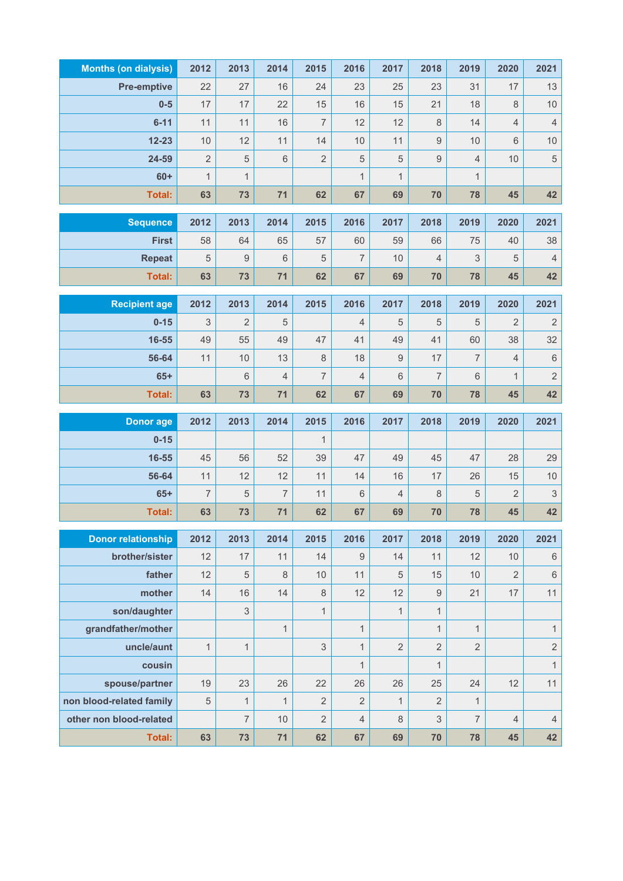| <b>Months (on dialysis)</b>              | 2012           | 2013             | 2014           | 2015                 | 2016                 | 2017           | 2018             | 2019           | 2020                 | 2021                      |
|------------------------------------------|----------------|------------------|----------------|----------------------|----------------------|----------------|------------------|----------------|----------------------|---------------------------|
| <b>Pre-emptive</b>                       | 22             | 27               | 16             | 24                   | 23                   | 25             | 23               | 31             | 17                   | 13                        |
| $0-5$                                    | 17             | 17               | 22             | 15                   | 16                   | 15             | 21               | 18             | 8                    | 10                        |
| $6 - 11$                                 | 11             | 11               | 16             | $\overline{7}$       | 12                   | 12             | 8                | 14             | $\overline{4}$       | $\overline{4}$            |
| $12 - 23$                                | 10             | 12               | 11             | 14                   | 10                   | 11             | $\boldsymbol{9}$ | 10             | $\,6\,$              | $10$                      |
| 24-59                                    | $\overline{2}$ | 5                | $6\phantom{1}$ | $\overline{2}$       | 5                    | 5              | $\boldsymbol{9}$ | $\overline{4}$ | 10                   | $\overline{5}$            |
| $60+$                                    | $\mathbf{1}$   | $\mathbf{1}$     |                |                      | $\mathbf{1}$         | $\mathbf{1}$   |                  | $\mathbf{1}$   |                      |                           |
| <b>Total:</b>                            | 63             | 73               | 71             | 62                   | 67                   | 69             | 70               | 78             | 45                   | 42                        |
| <b>Sequence</b>                          | 2012           | 2013             | 2014           | 2015                 | 2016                 | 2017           | 2018             | 2019           | 2020                 | 2021                      |
| <b>First</b>                             | 58             | 64               | 65             | 57                   | 60                   | 59             | 66               | 75             | 40                   | 38                        |
| <b>Repeat</b>                            | 5              | $\boldsymbol{9}$ | $6\,$          | 5                    | $\overline{7}$       | 10             | $\overline{4}$   | 3              | 5                    | $\sqrt{4}$                |
| Total:                                   | 63             | 73               | 71             | 62                   | 67                   | 69             | 70               | 78             | 45                   | 42                        |
|                                          |                |                  |                |                      |                      |                |                  |                |                      |                           |
| <b>Recipient age</b>                     | 2012           | 2013             | 2014           | 2015                 | 2016                 | 2017           | 2018             | 2019           | 2020                 | 2021                      |
| $0 - 15$                                 | 3              | $\overline{2}$   | $\sqrt{5}$     |                      | $\overline{4}$       | 5              | 5                | 5              | $\sqrt{2}$           | $\sqrt{2}$                |
| 16-55                                    | 49             | 55               | 49             | 47                   | 41                   | 49             | 41               | 60             | 38                   | 32                        |
| 56-64                                    | 11             | 10               | 13             | 8                    | 18                   | $\mathsf 9$    | 17               | $\overline{7}$ | $\overline{4}$       | $\,$ 6 $\,$               |
| $65+$                                    |                | $6\,$            | $\overline{4}$ | $\overline{7}$       | $\overline{4}$       | 6              | $\overline{7}$   | $\,6$          | 1                    | $\sqrt{2}$                |
| <b>Total:</b>                            | 63             | 73               | 71             | 62                   | 67                   | 69             | 70               | 78             | 45                   | 42                        |
|                                          |                |                  |                |                      |                      |                |                  |                |                      |                           |
| <b>Donor age</b>                         | 2012           | 2013             | 2014           | 2015                 | 2016                 | 2017           | 2018             | 2019           | 2020                 | 2021                      |
| $0 - 15$                                 |                |                  |                | $\mathbf{1}$         |                      |                |                  |                |                      |                           |
| $16 - 55$                                | 45             | 56               | 52             | 39                   | 47                   | 49             | 45               | 47             | 28                   | 29                        |
| 56-64                                    | 11             | 12               | 12             | 11                   | 14                   | 16             | 17               | 26             | 15                   | 10                        |
| $65+$                                    | $\overline{7}$ | 5                | $\overline{7}$ | 11                   | $\,6\,$              | $\overline{4}$ | $\,8\,$          | 5              | $\overline{2}$       | $\ensuremath{\mathsf{3}}$ |
| <b>Total:</b>                            | 63             | 73               | 71             | 62                   | 67                   | 69             | 70               | 78             | 45                   | 42                        |
|                                          |                |                  |                |                      |                      |                |                  |                |                      |                           |
| <b>Donor relationship</b>                | 2012           | 2013             | 2014           | 2015                 | 2016                 | 2017           | 2018             | 2019           | 2020                 | 2021                      |
| brother/sister                           | 12             | 17               | 11             | 14                   | 9                    | 14             | 11               | 12             | $10$                 | $\,6\,$                   |
| father                                   | 12             | 5                | 8              | 10                   | 11                   | 5              | 15               | 10             | 2                    | $\,$ 6 $\,$               |
| mother                                   | 14             | 16               | 14             | $\,8\,$              | 12                   | 12             | $\boldsymbol{9}$ | 21             | 17                   | 11                        |
| son/daughter                             |                | $\mathfrak 3$    |                | $\mathbf{1}$         |                      | $\mathbf{1}$   | $\mathbf{1}$     |                |                      |                           |
| grandfather/mother                       |                |                  | $\mathbf{1}$   |                      | $\mathbf{1}$         |                | $\mathbf{1}$     | $\mathbf{1}$   |                      | $\mathbf{1}$              |
| uncle/aunt                               | $\mathbf{1}$   | $\mathbf{1}$     |                | $\mathsf 3$          | $\mathbf{1}$         | $\overline{2}$ | $\overline{2}$   | $\overline{2}$ |                      | $\sqrt{2}$                |
| cousin                                   |                |                  |                |                      | $\mathbf{1}$         |                | $\mathbf{1}$     |                |                      | $\mathbf{1}$              |
| spouse/partner                           | 19             | 23               | 26             | 22                   | 26                   | 26             | 25               | 24             | 12                   | 11                        |
| non blood-related family                 | 5              | $\mathbf{1}$     | $\mathbf{1}$   | $\overline{2}$       | $\overline{2}$       | $\mathbf{1}$   | $\overline{2}$   | $\mathbf{1}$   |                      |                           |
| other non blood-related<br><b>Total:</b> | 63             | 7<br>73          | 10<br>71       | $\overline{2}$<br>62 | $\overline{4}$<br>67 | 8<br>69        | 3<br>70          | 7<br>78        | $\overline{4}$<br>45 | $\overline{4}$<br>42      |